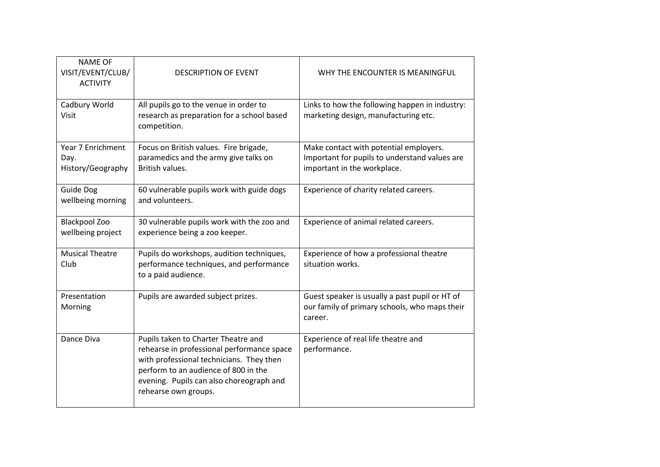| <b>NAME OF</b><br>VISIT/EVENT/CLUB/<br><b>ACTIVITY</b> | <b>DESCRIPTION OF EVENT</b>                                                                                                                                                                                                               | WHY THE ENCOUNTER IS MEANINGFUL                                                                                        |
|--------------------------------------------------------|-------------------------------------------------------------------------------------------------------------------------------------------------------------------------------------------------------------------------------------------|------------------------------------------------------------------------------------------------------------------------|
| Cadbury World<br><b>Visit</b>                          | All pupils go to the venue in order to<br>research as preparation for a school based<br>competition.                                                                                                                                      | Links to how the following happen in industry:<br>marketing design, manufacturing etc.                                 |
| Year 7 Enrichment<br>Day.<br>History/Geography         | Focus on British values. Fire brigade,<br>paramedics and the army give talks on<br>British values.                                                                                                                                        | Make contact with potential employers.<br>Important for pupils to understand values are<br>important in the workplace. |
| <b>Guide Dog</b><br>wellbeing morning                  | 60 vulnerable pupils work with guide dogs<br>and volunteers.                                                                                                                                                                              | Experience of charity related careers.                                                                                 |
| <b>Blackpool Zoo</b><br>wellbeing project              | 30 vulnerable pupils work with the zoo and<br>experience being a zoo keeper.                                                                                                                                                              | Experience of animal related careers.                                                                                  |
| <b>Musical Theatre</b><br>Club                         | Pupils do workshops, audition techniques,<br>performance techniques, and performance<br>to a paid audience.                                                                                                                               | Experience of how a professional theatre<br>situation works.                                                           |
| Presentation<br>Morning                                | Pupils are awarded subject prizes.                                                                                                                                                                                                        | Guest speaker is usually a past pupil or HT of<br>our family of primary schools, who maps their<br>career.             |
| Dance Diva                                             | Pupils taken to Charter Theatre and<br>rehearse in professional performance space<br>with professional technicians. They then<br>perform to an audience of 800 in the<br>evening. Pupils can also choreograph and<br>rehearse own groups. | Experience of real life theatre and<br>performance.                                                                    |